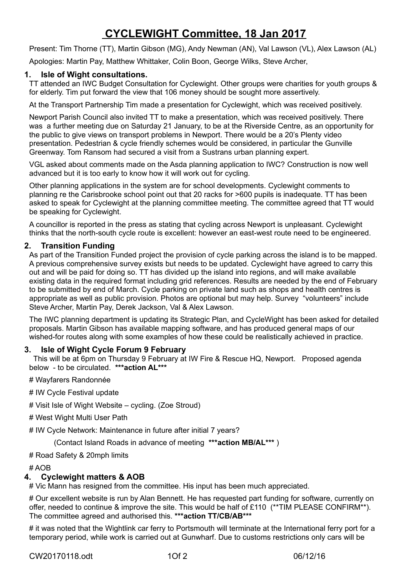# **CYCLEWIGHT Committee, 18 Jan 2017**

Present: Tim Thorne (TT), Martin Gibson (MG), Andy Newman (AN), Val Lawson (VL), Alex Lawson (AL)

Apologies: Martin Pay, Matthew Whittaker, Colin Boon, George Wilks, Steve Archer,

# **1. Isle of Wight consultations.**

TT attended an IWC Budget Consultation for Cyclewight. Other groups were charities for youth groups & for elderly. Tim put forward the view that 106 money should be sought more assertively.

At the Transport Partnership Tim made a presentation for Cyclewight, which was received positively.

Newport Parish Council also invited TT to make a presentation, which was received positively. There was a further meeting due on Saturday 21 January, to be at the Riverside Centre, as an opportunity for the public to give views on transport problems in Newport. There would be a 20's Plenty video presentation. Pedestrian & cycle friendly schemes would be considered, in particular the Gunville Greenway. Tom Ransom had secured a visit from a Sustrans urban planning expert.

VGL asked about comments made on the Asda planning application to IWC? Construction is now well advanced but it is too early to know how it will work out for cycling.

Other planning applications in the system are for school developments. Cyclewight comments to planning re the Carisbrooke school point out that 20 racks for >600 pupils is inadequate. TT has been asked to speak for Cyclewight at the planning committee meeting. The committee agreed that TT would be speaking for Cyclewight.

A councillor is reported in the press as stating that cycling across Newport is unpleasant. Cyclewight thinks that the north-south cycle route is excellent: however an east-west route need to be engineered.

# **2. Transition Funding**

As part of the Transition Funded project the provision of cycle parking across the island is to be mapped. A previous comprehensive survey exists but needs to be updated. Cyclewight have agreed to carry this out and will be paid for doing so. TT has divided up the island into regions, and will make available existing data in the required format including grid references. Results are needed by the end of February to be submitted by end of March. Cycle parking on private land such as shops and health centres is appropriate as well as public provision. Photos are optional but may help. Survey "volunteers" include Steve Archer, Martin Pay, Derek Jackson, Val & Alex Lawson.

The IWC planning department is updating its Strategic Plan, and CycleWight has been asked for detailed proposals. Martin Gibson has available mapping software, and has produced general maps of our wished-for routes along with some examples of how these could be realistically achieved in practice.

# **3. Isle of Wight Cycle Forum 9 February**

 This will be at 6pm on Thursday 9 February at IW Fire & Rescue HQ, Newport. Proposed agenda below - to be circulated. **\*\*\*action AL\*\*\***

# Wayfarers Randonnée

- # IW Cycle Festival update
- # Visit Isle of Wight Website cycling. (Zoe Stroud)
- # West Wight Multi User Path

# IW Cycle Network: Maintenance in future after initial 7 years?

(Contact Island Roads in advance of meeting **\*\*\*action MB/AL\*\*\*** )

### # Road Safety & 20mph limits

# AOB

### **4. Cyclewight matters & AOB**

# Vic Mann has resigned from the committee. His input has been much appreciated.

# Our excellent website is run by Alan Bennett. He has requested part funding for software, currently on offer, needed to continue & improve the site. This would be half of £110 (\*\*TIM PLEASE CONFIRM\*\*). The committee agreed and authorised this. **\*\*\*action TT/CB/AB\*\*\***

# it was noted that the Wightlink car ferry to Portsmouth will terminate at the International ferry port for a temporary period, while work is carried out at Gunwharf. Due to customs restrictions only cars will be